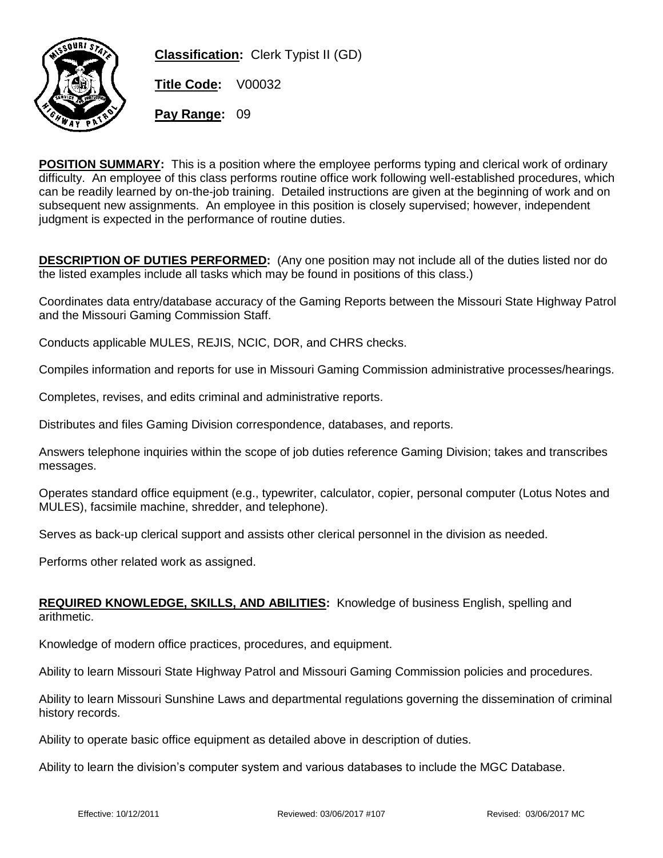

**Classification:** Clerk Typist II (GD)

**Title Code:** V00032

**Pay Range:** 09

**POSITION SUMMARY:** This is a position where the employee performs typing and clerical work of ordinary difficulty. An employee of this class performs routine office work following well-established procedures, which can be readily learned by on-the-job training. Detailed instructions are given at the beginning of work and on subsequent new assignments. An employee in this position is closely supervised; however, independent judgment is expected in the performance of routine duties.

**DESCRIPTION OF DUTIES PERFORMED:** (Any one position may not include all of the duties listed nor do the listed examples include all tasks which may be found in positions of this class.)

Coordinates data entry/database accuracy of the Gaming Reports between the Missouri State Highway Patrol and the Missouri Gaming Commission Staff.

Conducts applicable MULES, REJIS, NCIC, DOR, and CHRS checks.

Compiles information and reports for use in Missouri Gaming Commission administrative processes/hearings.

Completes, revises, and edits criminal and administrative reports.

Distributes and files Gaming Division correspondence, databases, and reports.

Answers telephone inquiries within the scope of job duties reference Gaming Division; takes and transcribes messages.

Operates standard office equipment (e.g., typewriter, calculator, copier, personal computer (Lotus Notes and MULES), facsimile machine, shredder, and telephone).

Serves as back-up clerical support and assists other clerical personnel in the division as needed.

Performs other related work as assigned.

## **REQUIRED KNOWLEDGE, SKILLS, AND ABILITIES:** Knowledge of business English, spelling and arithmetic.

Knowledge of modern office practices, procedures, and equipment.

Ability to learn Missouri State Highway Patrol and Missouri Gaming Commission policies and procedures.

Ability to learn Missouri Sunshine Laws and departmental regulations governing the dissemination of criminal history records.

Ability to operate basic office equipment as detailed above in description of duties.

Ability to learn the division's computer system and various databases to include the MGC Database.